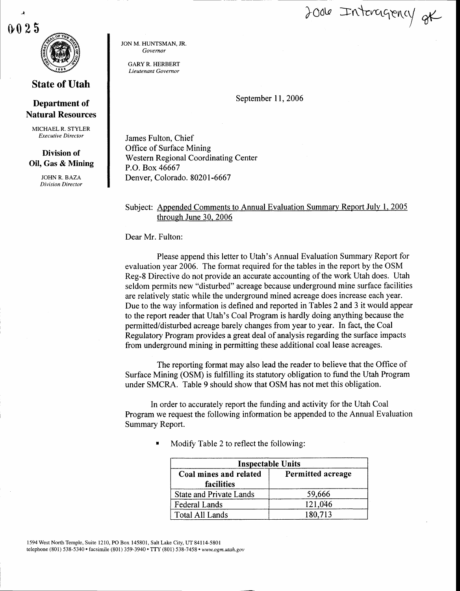2006 Interagency at

N 25

## State of Utah

## Department of Natural Resources

MICHAEL R. STYLER Executive Director

## Division of Oil, Gas & Mining

JOHN R. BAZA Division Director JON M. HUNTSMAN. JR. Governor

GARY R. HERBERT Lieutenant Governor

September 11, 2006

James Fulton, Chief Office of Surface Mining Western Regional Coordinating Center P.O. Box 46667 Denver, Colorado. 80201-6667

## Subject: Appended Comments to Annual Evaluation Summary Report July 1. 2005 through June 30. 2006

Dear Mr. Fulton:

Please append this letter to Utah's Annual Evaluation Summary Report for evaluation year 2006. The format required for the tables in the report by the OSM Reg-8 Directive do not provide an accurate accounting of the work Utah does. Utah seldom permits new "disturbed" acreage because underground mine surface facilities are relatively static while the underground mined acreage does increase each year. Due to the way information is defined and reported in Tables 2 and 3 it would appear to the report reader that Utah's Coal Program is hardly doing anything because the permitted/disturbed acreage barely changes from year to year. In fact, the Coal Regulatory Program provides a great deal of analysis regarding the surface impacts from underground mining in permitting these additional coal lease acreages.

The reporting format may also lead the reader to believe that the Office of Surface Mining (OSM) is fulfilling its statutory obligation to fund the Utah Program under SMCRA. Table 9 should show that OSM has not met this obligation.

In order to accurately report the funding and activity for the Utah Coal Program we request the following information be appended to the Annual Evaluation Summary Report.

| <b>Inspectable Units</b>             |                   |  |  |
|--------------------------------------|-------------------|--|--|
| Coal mines and related<br>facilities | Permitted acreage |  |  |
| <b>State and Private Lands</b>       | 59,666            |  |  |
| Federal Lands                        | 121,046           |  |  |
| <b>Total All Lands</b>               | 180,713           |  |  |

Modify Table 2 to reflect the following: